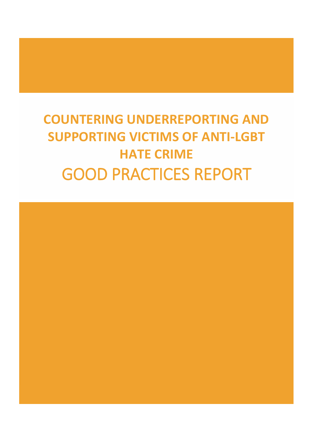# COUNTERING UNDERREPORTING AND SUPPORTING VICTIMS OF ANTI-LGBT HATE CRIME**GOOD PRACTICES REPORT**

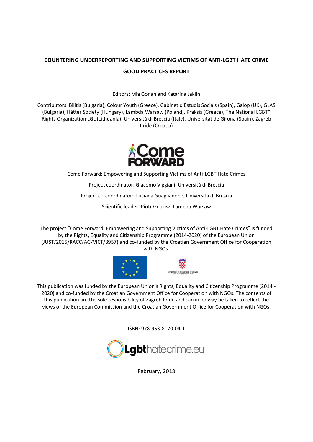## COUNTERING UNDERREPORTING AND SUPPORTING VICTIMS OF ANTI-LGBT HATE CRIME GOOD PRACTICES REPORT

Editors: Mia Gonan and Katarina Jaklin

Contributors: Bilitis (Bulgaria), Colour Youth (Greece), Gabinet d'Estudis Socials (Spain), Galop (UK), GLAS (Bulgaria), Háttér Society (Hungary), Lambda Warsaw (Poland), Praksis (Greece), The National LGBT\* Rights Organization LGL (Lithuania), Università di Brescia (Italy), Universitat de Girona (Spain), Zagreb Pride (Croatia)



Come Forward: Empowering and Supporting Victims of Anti-LGBT Hate Crimes

Project coordinator: Giacomo Viggiani, Università di Brescia

Project co-coordinator: Luciana Guaglianone, Università di Brescia

Scientific leader: Piotr Godzisz, Lambda Warsaw

The project "Come Forward: Empowering and Supporting Victims of Anti-LGBT Hate Crimes" is funded by the Rights, Equality and Citizenship Programme (2014-2020) of the European Union (JUST/2015/RACC/AG/VICT/8957) and co-funded by the Croatian Government Office for Cooperation with NGOs.



This publication was funded by the European Union's Rights, Equality and Citizenship Programme (2014 - 2020) and co-funded by the Croatian Government Office for Cooperation with NGOs. The contents of this publication are the sole responsibility of Zagreb Pride and can in no way be taken to reflect the views of the European Commission and the Croatian Government Office for Cooperation with NGOs.

ISBN: 978-953-8170-04-1



February, 2018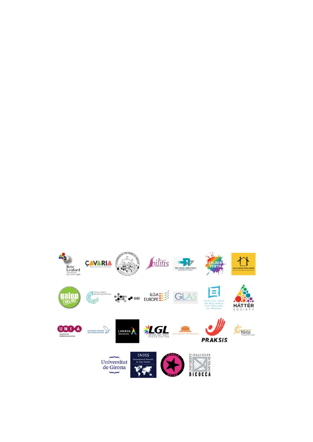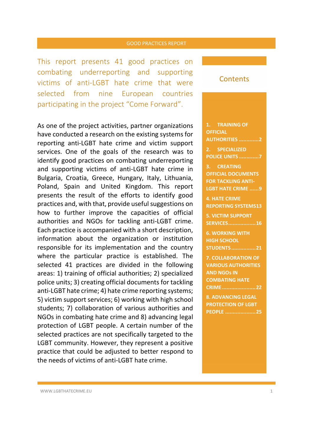This report presents 41 good practices on combating underreporting and supporting victims of anti-LGBT hate crime that were selected from nine European countries participating in the project "Come Forward".

As one of the project activities, partner organizations have conducted a research on the existing systems for reporting anti-LGBT hate crime and victim support services. One of the goals of the research was to identify good practices on combating underreporting and supporting victims of anti-LGBT hate crime in Bulgaria, Croatia, Greece, Hungary, Italy, Lithuania, Poland, Spain and United Kingdom. This report presents the result of the efforts to identify good practices and, with that, provide useful suggestions on how to further improve the capacities of official authorities and NGOs for tackling anti-LGBT crime. Each practice is accompanied with a short description, information about the organization or institution responsible for its implementation and the country where the particular practice is established. The selected 41 practices are divided in the following areas: 1) training of official authorities; 2) specialized police units; 3) creating official documents for tackling anti-LGBT hate crime; 4) hate crime reporting systems; 5) victim support services; 6) working with high school students; 7) collaboration of various authorities and NGOs in combating hate crime and 8) advancing legal protection of LGBT people. A certain number of the selected practices are not specifically targeted to the LGBT community. However, they represent a positive practice that could be adjusted to better respond to the needs of victims of anti-LGBT hate crime.

### **Contents**

| 1. TRAINING OF             |
|----------------------------|
| <b>OFFICIAL</b>            |
| <b>AUTHORITIES 2</b>       |
| 2. SPECIALIZED             |
| <b>POLICE UNITS 7</b>      |
| 3. CREATING                |
| <b>OFFICIAL DOCUMENTS</b>  |
| <b>FOR TACKLING ANTI-</b>  |
| <b>LGBT HATE CRIME 9</b>   |
| <b>4. HATE CRIME</b>       |
| <b>REPORTING SYSTEMS13</b> |
|                            |
| <b>5. VICTIM SUPPORT</b>   |
| SERVICES 16                |
| <b>6. WORKING WITH</b>     |
| <b>HIGH SCHOOL</b>         |
| <u>STUDENTS 21</u>         |
| <b>7. COLLABORATION OF</b> |
| <b>VARIOUS AUTHORITIES</b> |
| <b>AND NGOS IN</b>         |
| <b>COMBATING HATE</b>      |
| <u>CRIME22</u>             |
| <b>8. ADVANCING LEGAL</b>  |
| <b>PROTECTION OF LGBT</b>  |
| <b>PEOPLE 25</b>           |
|                            |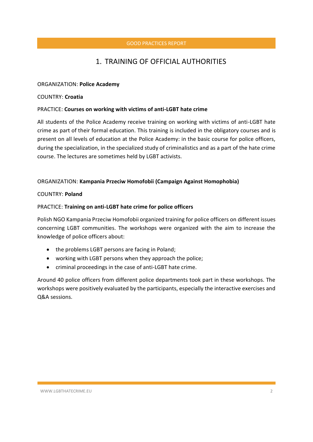### 1. TRAINING OF OFFICIAL AUTHORITIES

### ORGANIZATION: Police Academy

### COUNTRY: Croatia

### PRACTICE: Courses on working with victims of anti-LGBT hate crime

All students of the Police Academy receive training on working with victims of anti-LGBT hate crime as part of their formal education. This training is included in the obligatory courses and is present on all levels of education at the Police Academy: in the basic course for police officers, during the specialization, in the specialized study of criminalistics and as a part of the hate crime course. The lectures are sometimes held by LGBT activists.

### ORGANIZATION: Kampania Przeciw Homofobii (Campaign Against Homophobia)

### COUNTRY: Poland

### PRACTICE: Training on anti-LGBT hate crime for police officers

Polish NGO Kampania Przeciw Homofobii organized training for police officers on different issues concerning LGBT communities. The workshops were organized with the aim to increase the knowledge of police officers about:

- the problems LGBT persons are facing in Poland;
- · working with LGBT persons when they approach the police;
- · criminal proceedings in the case of anti-LGBT hate crime.

Around 40 police officers from different police departments took part in these workshops. The workshops were positively evaluated by the participants, especially the interactive exercises and Q&A sessions.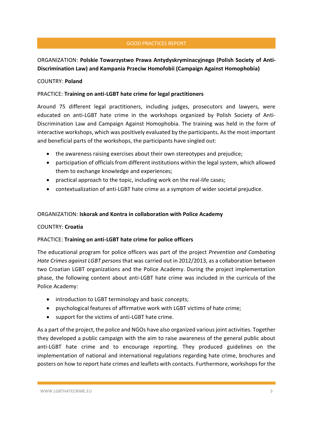### ORGANIZATION: Polskie Towarzystwo Prawa Antydyskryminacyjnego (Polish Society of Anti-Discrimination Law) and Kampania Przeciw Homofobii (Campaign Against Homophobia)

### COUNTRY: Poland

### PRACTICE: Training on anti-LGBT hate crime for legal practitioners

Around 75 different legal practitioners, including judges, prosecutors and lawyers, were educated on anti-LGBT hate crime in the workshops organized by Polish Society of Anti-Discrimination Law and Campaign Against Homophobia. The training was held in the form of interactive workshops, which was positively evaluated by the participants. As the most important and beneficial parts of the workshops, the participants have singled out:

- the awareness raising exercises about their own stereotypes and prejudice;
- · participation of officials from different institutions within the legal system, which allowed them to exchange knowledge and experiences;
- · practical approach to the topic, including work on the real-life cases;
- · contextualization of anti-LGBT hate crime as a symptom of wider societal prejudice.

### ORGANIZATION: Iskorak and Kontra in collaboration with Police Academy

### COUNTRY: Croatia

### PRACTICE: Training on anti-LGBT hate crime for police officers

The educational program for police officers was part of the project Prevention and Combating Hate Crimes against LGBT persons that was carried out in 2012/2013, as a collaboration between two Croatian LGBT organizations and the Police Academy. During the project implementation phase, the following content about anti-LGBT hate crime was included in the curricula of the Police Academy:

- · introduction to LGBT terminology and basic concepts;
- · psychological features of affirmative work with LGBT victims of hate crime;
- · support for the victims of anti-LGBT hate crime.

As a part of the project, the police and NGOs have also organized various joint activities. Together they developed a public campaign with the aim to raise awareness of the general public about anti-LGBT hate crime and to encourage reporting. They produced guidelines on the implementation of national and international regulations regarding hate crime, brochures and posters on how to report hate crimes and leaflets with contacts. Furthermore, workshops for the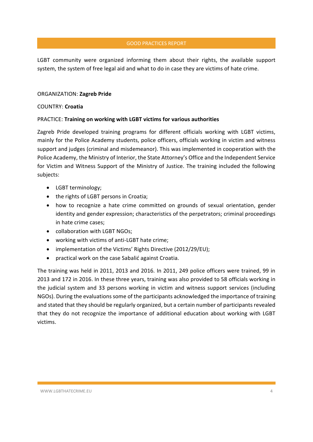LGBT community were organized informing them about their rights, the available support system, the system of free legal aid and what to do in case they are victims of hate crime.

### ORGANIZATION: Zagreb Pride

### COUNTRY: Croatia

### PRACTICE: Training on working with LGBT victims for various authorities

Zagreb Pride developed training programs for different officials working with LGBT victims, mainly for the Police Academy students, police officers, officials working in victim and witness support and judges (criminal and misdemeanor). This was implemented in cooperation with the Police Academy, the Ministry of Interior, the State Attorney's Office and the Independent Service for Victim and Witness Support of the Ministry of Justice. The training included the following subjects:

- · LGBT terminology;
- · the rights of LGBT persons in Croatia;
- · how to recognize a hate crime committed on grounds of sexual orientation, gender identity and gender expression; characteristics of the perpetrators; criminal proceedings in hate crime cases;
- · collaboration with LGBT NGOs;
- · working with victims of anti-LGBT hate crime;
- implementation of the Victims' Rights Directive (2012/29/EU);
- · practical work on the case Sabalić against Croatia.

The training was held in 2011, 2013 and 2016. In 2011, 249 police officers were trained, 99 in 2013 and 172 in 2016. In these three years, training was also provided to 58 officials working in the judicial system and 33 persons working in victim and witness support services (including NGOs). During the evaluations some of the participants acknowledged the importance of training and stated that they should be regularly organized, but a certain number of participants revealed that they do not recognize the importance of additional education about working with LGBT victims.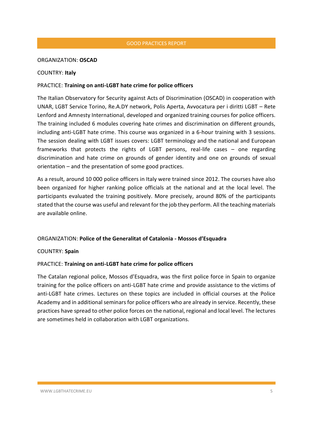### ORGANIZATION: OSCAD

### COUNTRY: Italy

### PRACTICE: Training on anti-LGBT hate crime for police officers

The Italian Observatory for Security against Acts of Discrimination (OSCAD) in cooperation with UNAR, LGBT Service Torino, Re.A.DY network, Polis Aperta, Avvocatura per i diritti LGBT – Rete Lenford and Amnesty International, developed and organized training courses for police officers. The training included 6 modules covering hate crimes and discrimination on different grounds, including anti-LGBT hate crime. This course was organized in a 6-hour training with 3 sessions. The session dealing with LGBT issues covers: LGBT terminology and the national and European frameworks that protects the rights of LGBT persons, real-life cases – one regarding discrimination and hate crime on grounds of gender identity and one on grounds of sexual orientation – and the presentation of some good practices.

As a result, around 10 000 police officers in Italy were trained since 2012. The courses have also been organized for higher ranking police officials at the national and at the local level. The participants evaluated the training positively. More precisely, around 80% of the participants stated that the course was useful and relevant for the job they perform. All the teaching materials are available online.

### ORGANIZATION: Police of the Generalitat of Catalonia - Mossos d'Esquadra

### COUNTRY: Spain

### PRACTICE: Training on anti-LGBT hate crime for police officers

The Catalan regional police, Mossos d'Esquadra, was the first police force in Spain to organize training for the police officers on anti-LGBT hate crime and provide assistance to the victims of anti-LGBT hate crimes. Lectures on these topics are included in official courses at the Police Academy and in additional seminars for police officers who are already in service. Recently, these practices have spread to other police forces on the national, regional and local level. The lectures are sometimes held in collaboration with LGBT organizations.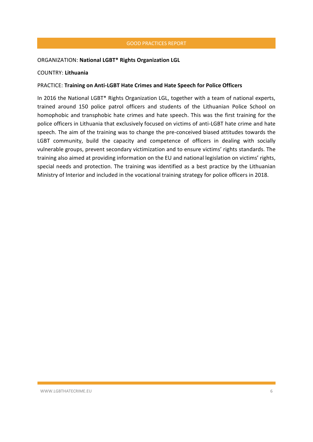### ORGANIZATION: National LGBT\* Rights Organization LGL

### COUNTRY: Lithuania

### PRACTICE: Training on Anti-LGBT Hate Crimes and Hate Speech for Police Officers

In 2016 the National LGBT\* Rights Organization LGL, together with a team of national experts, trained around 150 police patrol officers and students of the Lithuanian Police School on homophobic and transphobic hate crimes and hate speech. This was the first training for the police officers in Lithuania that exclusively focused on victims of anti-LGBT hate crime and hate speech. The aim of the training was to change the pre-conceived biased attitudes towards the LGBT community, build the capacity and competence of officers in dealing with socially vulnerable groups, prevent secondary victimization and to ensure victims' rights standards. The training also aimed at providing information on the EU and national legislation on victims' rights, special needs and protection. The training was identified as a best practice by the Lithuanian Ministry of Interior and included in the vocational training strategy for police officers in 2018.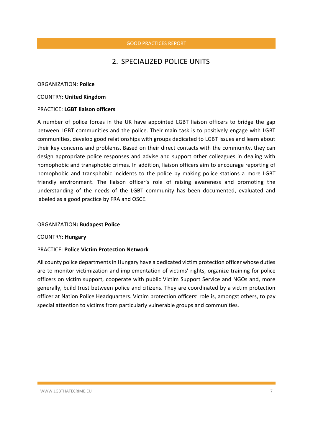### 2. SPECIALIZED POLICE UNITS

### ORGANIZATION: Police

### COUNTRY: United Kingdom

### PRACTICE: LGBT liaison officers

A number of police forces in the UK have appointed LGBT liaison officers to bridge the gap between LGBT communities and the police. Their main task is to positively engage with LGBT communities, develop good relationships with groups dedicated to LGBT issues and learn about their key concerns and problems. Based on their direct contacts with the community, they can design appropriate police responses and advise and support other colleagues in dealing with homophobic and transphobic crimes. In addition, liaison officers aim to encourage reporting of homophobic and transphobic incidents to the police by making police stations a more LGBT friendly environment. The liaison officer's role of raising awareness and promoting the understanding of the needs of the LGBT community has been documented, evaluated and labeled as a good practice by FRA and OSCE.

### ORGANIZATION: Budapest Police

### COUNTRY: Hungary

### PRACTICE: Police Victim Protection Network

All county police departments in Hungary have a dedicated victim protection officer whose duties are to monitor victimization and implementation of victims' rights, organize training for police officers on victim support, cooperate with public Victim Support Service and NGOs and, more generally, build trust between police and citizens. They are coordinated by a victim protection officer at Nation Police Headquarters. Victim protection officers' role is, amongst others, to pay special attention to victims from particularly vulnerable groups and communities.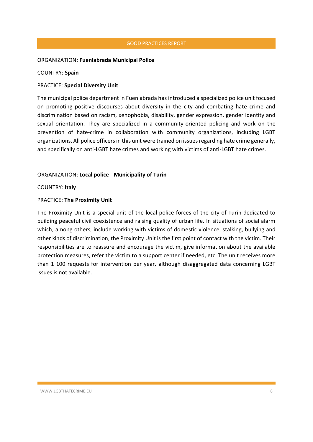### ORGANIZATION: Fuenlabrada Municipal Police

#### COUNTRY: Spain

### PRACTICE: Special Diversity Unit

The municipal police department in Fuenlabrada has introduced a specialized police unit focused on promoting positive discourses about diversity in the city and combating hate crime and discrimination based on racism, xenophobia, disability, gender expression, gender identity and sexual orientation. They are specialized in a community-oriented policing and work on the prevention of hate-crime in collaboration with community organizations, including LGBT organizations. All police officers in this unit were trained on issues regarding hate crime generally, and specifically on anti-LGBT hate crimes and working with victims of anti-LGBT hate crimes.

### ORGANIZATION: Local police - Municipality of Turin

COUNTRY: Italy

### PRACTICE: The Proximity Unit

The Proximity Unit is a special unit of the local police forces of the city of Turin dedicated to building peaceful civil coexistence and raising quality of urban life. In situations of social alarm which, among others, include working with victims of domestic violence, stalking, bullying and other kinds of discrimination, the Proximity Unit is the first point of contact with the victim. Their responsibilities are to reassure and encourage the victim, give information about the available protection measures, refer the victim to a support center if needed, etc. The unit receives more than 1 100 requests for intervention per year, although disaggregated data concerning LGBT issues is not available.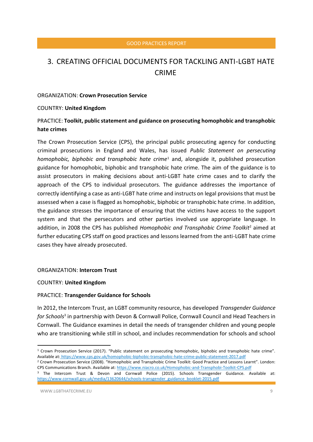# 3. CREATING OFFICIAL DOCUMENTS FOR TACKLING ANTI-LGBT HATE CRIME

### ORGANIZATION: Crown Prosecution Service

### COUNTRY: United Kingdom

### PRACTICE: Toolkit, public statement and guidance on prosecuting homophobic and transphobic hate crimes

The Crown Prosecution Service (CPS), the principal public prosecuting agency for conducting criminal prosecutions in England and Wales, has issued Public Statement on persecuting homophobic, biphobic and transphobic hate crime<sup>1</sup> and, alongside it, published prosecution guidance for homophobic, biphobic and transphobic hate crime. The aim of the guidance is to assist prosecutors in making decisions about anti-LGBT hate crime cases and to clarify the approach of the CPS to individual prosecutors. The guidance addresses the importance of correctly identifying a case as anti-LGBT hate crime and instructs on legal provisions that must be assessed when a case is flagged as homophobic, biphobic or transphobic hate crime. In addition, the guidance stresses the importance of ensuring that the victims have access to the support system and that the persecutors and other parties involved use appropriate language. In addition, in 2008 the CPS has published Homophobic and Transphobic Crime Toolkit<sup>2</sup> aimed at further educating CPS staff on good practices and lessons learned from the anti-LGBT hate crime cases they have already prosecuted.

### ORGANIZATION: Intercom Trust

#### COUNTRY: United Kingdom

### PRACTICE: Transgender Guidance for Schools

In 2012, the Intercom Trust, an LGBT community resource, has developed Transgender Guidance for Schools<sup>3</sup> in partnership with Devon & Cornwall Police, Cornwall Council and Head Teachers in Cornwall. The Guidance examines in detail the needs of transgender children and young people who are transitioning while still in school, and includes recommendation for schools and school

 <sup>1</sup> Crown Prosecution Service (2017). "Public statement on prosecuting homophobic, biphobic and transphobic hate crime". Available at: https://www.cps.gov.uk/homophobic-biphobic-transphobic-hate-crime-public-statement-2017.pdf

<sup>&</sup>lt;sup>2</sup> Crown Prosecution Service (2008). "Homophobic and Transphobic Crime Toolkit: Good Practice and Lessons Learnt". London: CPS Communications Branch. Available at: https://www.niacro.co.uk/Homophobic-and-Transphobi-Toolkit-CPS.pdf

<sup>3</sup> The Intercom Trust & Devon and Cornwall Police (2015). Schools Transgender Guidance. Available at: https://www.cornwall.gov.uk/media/13620644/schools-transgender\_guidance\_booklet-2015.pdf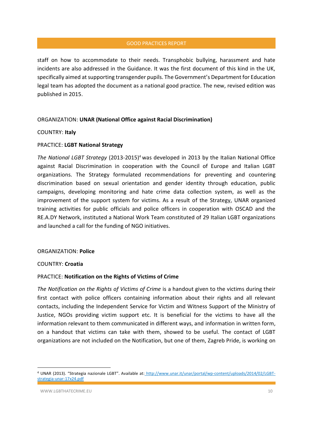staff on how to accommodate to their needs. Transphobic bullying, harassment and hate incidents are also addressed in the Guidance. It was the first document of this kind in the UK, specifically aimed at supporting transgender pupils. The Government's Department for Education legal team has adopted the document as a national good practice. The new, revised edition was published in 2015.

### ORGANIZATION: UNAR (National Office against Racial Discrimination)

### COUNTRY: Italy

### PRACTICE: LGBT National Strategy

The National LGBT Strategy (2013-2015)<sup>4</sup> was developed in 2013 by the Italian National Office against Racial Discrimination in cooperation with the Council of Europe and Italian LGBT organizations. The Strategy formulated recommendations for preventing and countering discrimination based on sexual orientation and gender identity through education, public campaigns, developing monitoring and hate crime data collection system, as well as the improvement of the support system for victims. As a result of the Strategy, UNAR organized training activities for public officials and police officers in cooperation with OSCAD and the RE.A.DY Network, instituted a National Work Team constituted of 29 Italian LGBT organizations and launched a call for the funding of NGO initiatives.

### ORGANIZATION: Police

### COUNTRY: Croatia

### PRACTICE: Notification on the Rights of Victims of Crime

The Notification on the Rights of Victims of Crime is a handout given to the victims during their first contact with police officers containing information about their rights and all relevant contacts, including the Independent Service for Victim and Witness Support of the Ministry of Justice, NGOs providing victim support etc. It is beneficial for the victims to have all the information relevant to them communicated in different ways, and information in written form, on a handout that victims can take with them, showed to be useful. The contact of LGBT organizations are not included on the Notification, but one of them, Zagreb Pride, is working on

 <sup>4</sup> UNAR (2013). "Strategia nazionale LGBT". Available at: http://www.unar.it/unar/portal/wp-content/uploads/2014/02/LGBTstrategia-unar-17x24.pdf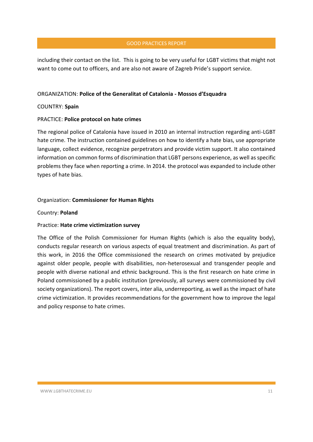including their contact on the list. This is going to be very useful for LGBT victims that might not want to come out to officers, and are also not aware of Zagreb Pride's support service.

### ORGANIZATION: Police of the Generalitat of Catalonia - Mossos d'Esquadra

### COUNTRY: Spain

### PRACTICE: Police protocol on hate crimes

The regional police of Catalonia have issued in 2010 an internal instruction regarding anti-LGBT hate crime. The instruction contained guidelines on how to identify a hate bias, use appropriate language, collect evidence, recognize perpetrators and provide victim support. It also contained information on common forms of discrimination that LGBT persons experience, as well as specific problems they face when reporting a crime. In 2014. the protocol was expanded to include other types of hate bias.

### Organization: Commissioner for Human Rights

### Country: Poland

### Practice: Hate crime victimization survey

The Office of the Polish Commissioner for Human Rights (which is also the equality body), conducts regular research on various aspects of equal treatment and discrimination. As part of this work, in 2016 the Office commissioned the research on crimes motivated by prejudice against older people, people with disabilities, non-heterosexual and transgender people and people with diverse national and ethnic background. This is the first research on hate crime in Poland commissioned by a public institution (previously, all surveys were commissioned by civil society organizations). The report covers, inter alia, underreporting, as well as the impact of hate crime victimization. It provides recommendations for the government how to improve the legal and policy response to hate crimes.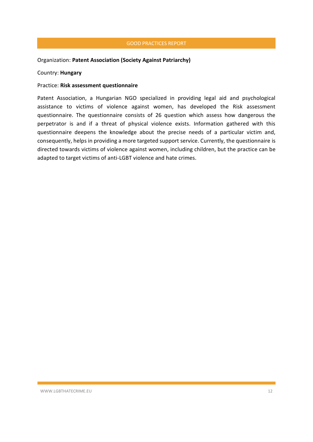### Organization: Patent Association (Society Against Patriarchy)

Country: Hungary

### Practice: Risk assessment questionnaire

Patent Association, a Hungarian NGO specialized in providing legal aid and psychological assistance to victims of violence against women, has developed the Risk assessment questionnaire. The questionnaire consists of 26 question which assess how dangerous the perpetrator is and if a threat of physical violence exists. Information gathered with this questionnaire deepens the knowledge about the precise needs of a particular victim and, consequently, helps in providing a more targeted support service. Currently, the questionnaire is directed towards victims of violence against women, including children, but the practice can be adapted to target victims of anti-LGBT violence and hate crimes.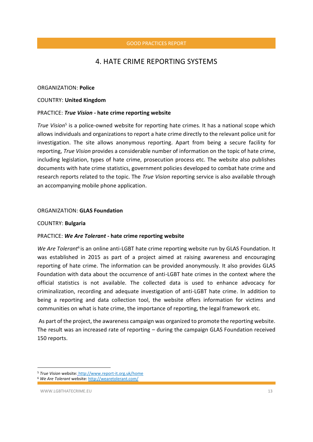### 4. HATE CRIME REPORTING SYSTEMS

### ORGANIZATION: Police

### COUNTRY: United Kingdom

### PRACTICE: True Vision - hate crime reporting website

True Vision<sup>5</sup> is a police-owned website for reporting hate crimes. It has a national scope which allows individuals and organizations to report a hate crime directly to the relevant police unit for investigation. The site allows anonymous reporting. Apart from being a secure facility for reporting, True Vision provides a considerable number of information on the topic of hate crime, including legislation, types of hate crime, prosecution process etc. The website also publishes documents with hate crime statistics, government policies developed to combat hate crime and research reports related to the topic. The True Vision reporting service is also available through an accompanying mobile phone application.

### ORGANIZATION: GLAS Foundation

### COUNTRY: Bulgaria

### PRACTICE: We Are Tolerant - hate crime reporting website

We Are Tolerant<sup>6</sup> is an online anti-LGBT hate crime reporting website run by GLAS Foundation. It was established in 2015 as part of a project aimed at raising awareness and encouraging reporting of hate crime. The information can be provided anonymously. It also provides GLAS Foundation with data about the occurrence of anti-LGBT hate crimes in the context where the official statistics is not available. The collected data is used to enhance advocacy for criminalization, recording and adequate investigation of anti-LGBT hate crime. In addition to being a reporting and data collection tool, the website offers information for victims and communities on what is hate crime, the importance of reporting, the legal framework etc.

As part of the project, the awareness campaign was organized to promote the reporting website. The result was an increased rate of reporting – during the campaign GLAS Foundation received 150 reports.

 <sup>5</sup> True Vision website: http://www.report-it.org.uk/home

<sup>6</sup> We Are Tolerant website: http://wearetolerant.com/

WWW.LGBTHATECRIME.EU 13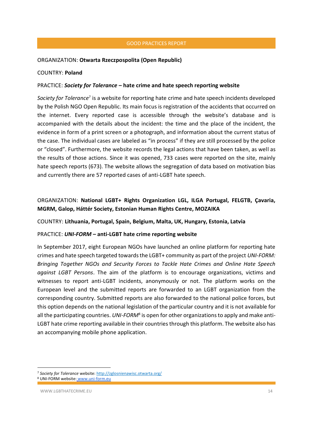### ORGANIZATION: Otwarta Rzeczpospolita (Open Republic)

### COUNTRY: Poland

### PRACTICE: Society for Tolerance - hate crime and hate speech reporting website

Society for Tolerance<sup>7</sup> is a website for reporting hate crime and hate speech incidents developed by the Polish NGO Open Republic. Its main focus is registration of the accidents that occurred on the internet. Every reported case is accessible through the website's database and is accompanied with the details about the incident: the time and the place of the incident, the evidence in form of a print screen or a photograph, and information about the current status of the case. The individual cases are labeled as "in process" if they are still processed by the police or "closed". Furthermore, the website records the legal actions that have been taken, as well as the results of those actions. Since it was opened, 733 cases were reported on the site, mainly hate speech reports (673). The website allows the segregation of data based on motivation bias and currently there are 57 reported cases of anti-LGBT hate speech.

### ORGANIZATION: National LGBT+ Rights Organization LGL, ILGA Portugal, FELGTB, Çavaria, MGRM, Galop, Háttér Society, Estonian Human Rights Centre, MOZAIKA

COUNTRY: Lithuania, Portugal, Spain, Belgium, Malta, UK, Hungary, Estonia, Latvia

### PRACTICE: UNI-FORM – anti-LGBT hate crime reporting website

In September 2017, eight European NGOs have launched an online platform for reporting hate crimes and hate speech targeted towards the LGBT+ community as part of the project UNI-FORM: Bringing Together NGOs and Security Forces to Tackle Hate Crimes and Online Hate Speech against LGBT Persons. The aim of the platform is to encourage organizations, victims and witnesses to report anti-LGBT incidents, anonymously or not. The platform works on the European level and the submitted reports are forwarded to an LGBT organization from the corresponding country. Submitted reports are also forwarded to the national police forces, but this option depends on the national legislation of the particular country and it is not available for all the participating countries. UNI-FORM<sup>8</sup> is open for other organizations to apply and make anti-LGBT hate crime reporting available in their countries through this platform. The website also has an accompanying mobile phone application.

 <sup>7</sup> Society for Tolerance website: http://zglosnienawisc.otwarta.org/ <sup>8</sup> UNI-FORM website: www.uni-form.eu

WWW.LGBTHATECRIME.EU 14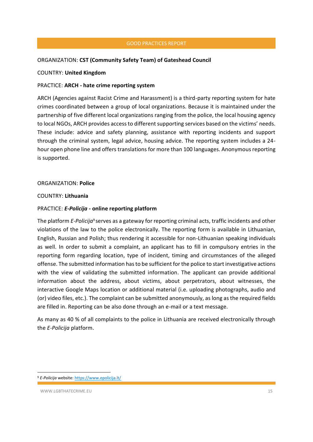### ORGANIZATION: CST (Community Safety Team) of Gateshead Council

### COUNTRY: United Kingdom

### PRACTICE: ARCH - hate crime reporting system

ARCH (Agencies against Racist Crime and Harassment) is a third-party reporting system for hate crimes coordinated between a group of local organizations. Because it is maintained under the partnership of five different local organizations ranging from the police, the local housing agency to local NGOs, ARCH provides access to different supporting services based on the victims' needs. These include: advice and safety planning, assistance with reporting incidents and support through the criminal system, legal advice, housing advice. The reporting system includes a 24 hour open phone line and offers translations for more than 100 languages. Anonymous reporting is supported.

### ORGANIZATION: Police

### COUNTRY: Lithuania

### PRACTICE: E-Policija - online reporting platform

The platform  $E$ -Policija<sup>9</sup> serves as a gateway for reporting criminal acts, traffic incidents and other violations of the law to the police electronically. The reporting form is available in Lithuanian, English, Russian and Polish; thus rendering it accessible for non-Lithuanian speaking individuals as well. In order to submit a complaint, an applicant has to fill in compulsory entries in the reporting form regarding location, type of incident, timing and circumstances of the alleged offense. The submitted information has to be sufficient for the police to start investigative actions with the view of validating the submitted information. The applicant can provide additional information about the address, about victims, about perpetrators, about witnesses, the interactive Google Maps location or additional material (i.e. uploading photographs, audio and (or) video files, etc.). The complaint can be submitted anonymously, as long as the required fields are filled in. Reporting can be also done through an e-mail or a text message.

As many as 40 % of all complaints to the police in Lithuania are received electronically through the E-Policija platform.

 <sup>9</sup> E-Policija website: https://www.epolicija.lt/

WWW.LGBTHATECRIME.EU 15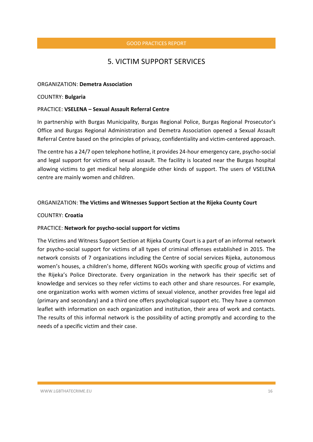### 5. VICTIM SUPPORT SERVICES

### ORGANIZATION: Demetra Association

### COUNTRY: Bulgaria

### PRACTICE: VSELENA – Sexual Assault Referral Centre

In partnership with Burgas Municipality, Burgas Regional Police, Burgas Regional Prosecutor's Office and Burgas Regional Administration and Demetra Association opened a Sexual Assault Referral Centre based on the principles of privacy, confidentiality and victim-centered approach.

The centre has a 24/7 open telephone hotline, it provides 24-hour emergency care, psycho-social and legal support for victims of sexual assault. The facility is located near the Burgas hospital allowing victims to get medical help alongside other kinds of support. The users of VSELENA centre are mainly women and children.

### ORGANIZATION: The Victims and Witnesses Support Section at the Rijeka County Court

### COUNTRY: Croatia

### PRACTICE: Network for psycho-social support for victims

The Victims and Witness Support Section at Rijeka County Court is a part of an informal network for psycho-social support for victims of all types of criminal offenses established in 2015. The network consists of 7 organizations including the Centre of social services Rijeka, autonomous women's houses, a children's home, different NGOs working with specific group of victims and the Rijeka's Police Directorate. Every organization in the network has their specific set of knowledge and services so they refer victims to each other and share resources. For example, one organization works with women victims of sexual violence, another provides free legal aid (primary and secondary) and a third one offers psychological support etc. They have a common leaflet with information on each organization and institution, their area of work and contacts. The results of this informal network is the possibility of acting promptly and according to the needs of a specific victim and their case.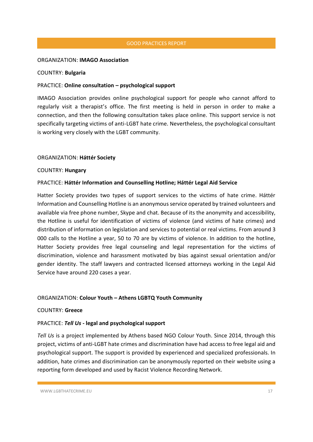### ORGANIZATION: IMAGO Association

### COUNTRY: Bulgaria

### PRACTICE: Online consultation – psychological support

IMAGO Association provides online psychological support for people who cannot afford to regularly visit a therapist's office. The first meeting is held in person in order to make a connection, and then the following consultation takes place online. This support service is not specifically targeting victims of anti-LGBT hate crime. Nevertheless, the psychological consultant is working very closely with the LGBT community.

### ORGANIZATION: Háttér Society

#### COUNTRY: Hungary

### PRACTICE: Háttér Information and Counselling Hotline; Háttér Legal Aid Service

Hatter Society provides two types of support services to the victims of hate crime. Háttér Information and Counselling Hotline is an anonymous service operated by trained volunteers and available via free phone number, Skype and chat. Because of its the anonymity and accessibility, the Hotline is useful for identification of victims of violence (and victims of hate crimes) and distribution of information on legislation and services to potential or real victims. From around 3 000 calls to the Hotline a year, 50 to 70 are by victims of violence. In addition to the hotline, Hatter Society provides free legal counseling and legal representation for the victims of discrimination, violence and harassment motivated by bias against sexual orientation and/or gender identity. The staff lawyers and contracted licensed attorneys working in the Legal Aid Service have around 220 cases a year.

### ORGANIZATION: Colour Youth – Athens LGBTQ Youth Community

### COUNTRY: Greece

### PRACTICE: Tell Us - legal and psychological support

Tell Us is a project implemented by Athens based NGO Colour Youth. Since 2014, through this project, victims of anti-LGBT hate crimes and discrimination have had access to free legal aid and psychological support. The support is provided by experienced and specialized professionals. In addition, hate crimes and discrimination can be anonymously reported on their website using a reporting form developed and used by Racist Violence Recording Network.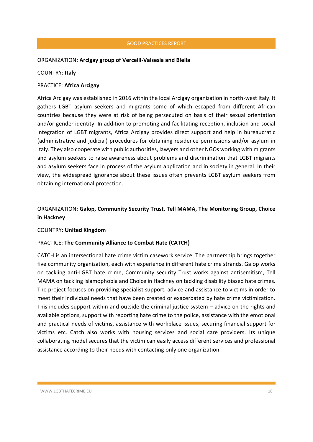### ORGANIZATION: Arcigay group of Vercelli-Valsesia and Biella

#### COUNTRY: Italy

### PRACTICE: Africa Arcigay

Africa Arcigay was established in 2016 within the local Arcigay organization in north-west Italy. It gathers LGBT asylum seekers and migrants some of which escaped from different African countries because they were at risk of being persecuted on basis of their sexual orientation and/or gender identity. In addition to promoting and facilitating reception, inclusion and social integration of LGBT migrants, Africa Arcigay provides direct support and help in bureaucratic (administrative and judicial) procedures for obtaining residence permissions and/or asylum in Italy. They also cooperate with public authorities, lawyers and other NGOs working with migrants and asylum seekers to raise awareness about problems and discrimination that LGBT migrants and asylum seekers face in process of the asylum application and in society in general. In their view, the widespread ignorance about these issues often prevents LGBT asylum seekers from obtaining international protection.

### ORGANIZATION: Galop, Community Security Trust, Tell MAMA, The Monitoring Group, Choice in Hackney

#### COUNTRY: United Kingdom

### PRACTICE: The Community Alliance to Combat Hate (CATCH)

CATCH is an intersectional hate crime victim casework service. The partnership brings together five community organization, each with experience in different hate crime strands. Galop works on tackling anti-LGBT hate crime, Community security Trust works against antisemitism, Tell MAMA on tackling islamophobia and Choice in Hackney on tackling disability biased hate crimes. The project focuses on providing specialist support, advice and assistance to victims in order to meet their individual needs that have been created or exacerbated by hate crime victimization. This includes support within and outside the criminal justice system – advice on the rights and available options, support with reporting hate crime to the police, assistance with the emotional and practical needs of victims, assistance with workplace issues, securing financial support for victims etc. Catch also works with housing services and social care providers. Its unique collaborating model secures that the victim can easily access different services and professional assistance according to their needs with contacting only one organization.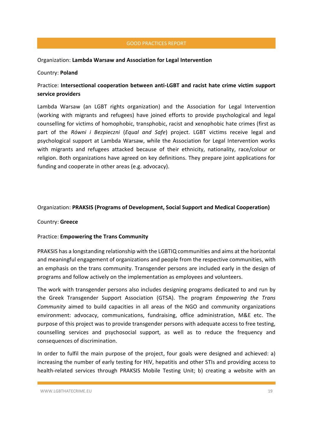### Organization: Lambda Warsaw and Association for Legal Intervention

### Country: Poland

### Practice: Intersectional cooperation between anti-LGBT and racist hate crime victim support service providers

Lambda Warsaw (an LGBT rights organization) and the Association for Legal Intervention (working with migrants and refugees) have joined efforts to provide psychological and legal counselling for victims of homophobic, transphobic, racist and xenophobic hate crimes (first as part of the Równi i Bezpieczni (Equal and Safe) project. LGBT victims receive legal and psychological support at Lambda Warsaw, while the Association for Legal Intervention works with migrants and refugees attacked because of their ethnicity, nationality, race/colour or religion. Both organizations have agreed on key definitions. They prepare joint applications for funding and cooperate in other areas (e.g. advocacy).

### Organization: PRAKSIS (Programs of Development, Social Support and Medical Cooperation)

#### Country: Greece

### Practice: Empowering the Trans Community

PRAKSIS has a longstanding relationship with the LGBTIQ communities and aims at the horizontal and meaningful engagement of organizations and people from the respective communities, with an emphasis on the trans community. Transgender persons are included early in the design of programs and follow actively on the implementation as employees and volunteers.

The work with transgender persons also includes designing programs dedicated to and run by the Greek Transgender Support Association (GTSA). The program Empowering the Trans Community aimed to build capacities in all areas of the NGO and community organizations environment: advocacy, communications, fundraising, office administration, M&E etc. The purpose of this project was to provide transgender persons with adequate access to free testing, counselling services and psychosocial support, as well as to reduce the frequency and consequences of discrimination.

In order to fulfil the main purpose of the project, four goals were designed and achieved: a) increasing the number of early testing for HIV, hepatitis and other STIs and providing access to health-related services through PRAKSIS Mobile Testing Unit; b) creating a website with an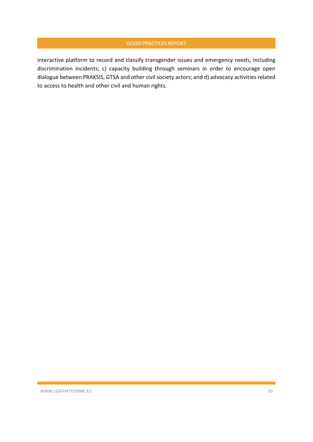interactive platform to record and classify transgender issues and emergency needs, including discrimination incidents; c) capacity building through seminars in order to encourage open dialogue between PRAKSIS, GTSA and other civil society actors; and d) advocacy activities related to access to health and other civil and human rights.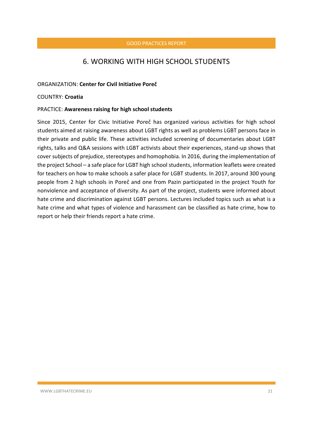### 6. WORKING WITH HIGH SCHOOL STUDENTS

### ORGANIZATION: Center for Civil Initiative Poreč

### COUNTRY: Croatia

### PRACTICE: Awareness raising for high school students

Since 2015, Center for Civic Initiative Poreč has organized various activities for high school students aimed at raising awareness about LGBT rights as well as problems LGBT persons face in their private and public life. These activities included screening of documentaries about LGBT rights, talks and Q&A sessions with LGBT activists about their experiences, stand-up shows that cover subjects of prejudice, stereotypes and homophobia. In 2016, during the implementation of the project School – a safe place for LGBT high school students, information leaflets were created for teachers on how to make schools a safer place for LGBT students. In 2017, around 300 young people from 2 high schools in Poreč and one from Pazin participated in the project Youth for nonviolence and acceptance of diversity. As part of the project, students were informed about hate crime and discrimination against LGBT persons. Lectures included topics such as what is a hate crime and what types of violence and harassment can be classified as hate crime, how to report or help their friends report a hate crime.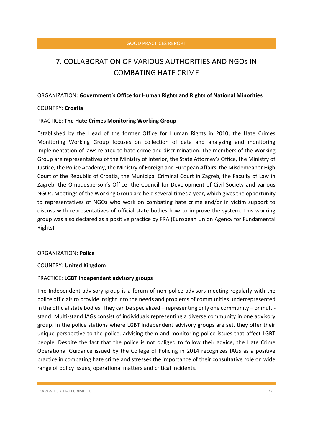# 7. COLLABORATION OF VARIOUS AUTHORITIES AND NGOs IN COMBATING HATE CRIME

### ORGANIZATION: Government's Office for Human Rights and Rights of National Minorities

### COUNTRY: Croatia

### PRACTICE: The Hate Crimes Monitoring Working Group

Established by the Head of the former Office for Human Rights in 2010, the Hate Crimes Monitoring Working Group focuses on collection of data and analyzing and monitoring implementation of laws related to hate crime and discrimination. The members of the Working Group are representatives of the Ministry of Interior, the State Attorney's Office, the Ministry of Justice, the Police Academy, the Ministry of Foreign and European Affairs, the Misdemeanor High Court of the Republic of Croatia, the Municipal Criminal Court in Zagreb, the Faculty of Law in Zagreb, the Ombudsperson's Office, the Council for Development of Civil Society and various NGOs. Meetings of the Working Group are held several times a year, which gives the opportunity to representatives of NGOs who work on combating hate crime and/or in victim support to discuss with representatives of official state bodies how to improve the system. This working group was also declared as a positive practice by FRA (European Union Agency for Fundamental Rights).

#### ORGANIZATION: Police

### COUNTRY: United Kingdom

### PRACTICE: LGBT Independent advisory groups

The Independent advisory group is a forum of non-police advisors meeting regularly with the police officials to provide insight into the needs and problems of communities underrepresented in the official state bodies. They can be specialized – representing only one community – or multistand. Multi-stand IAGs consist of individuals representing a diverse community in one advisory group. In the police stations where LGBT independent advisory groups are set, they offer their unique perspective to the police, advising them and monitoring police issues that affect LGBT people. Despite the fact that the police is not obliged to follow their advice, the Hate Crime Operational Guidance issued by the College of Policing in 2014 recognizes IAGs as a positive practice in combating hate crime and stresses the importance of their consultative role on wide range of policy issues, operational matters and critical incidents.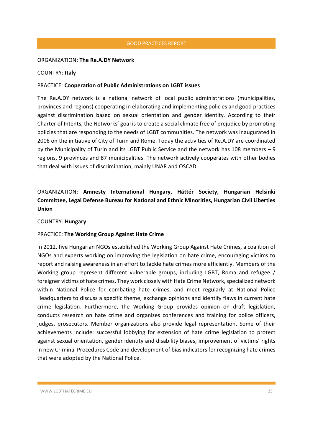### ORGANIZATION: The Re.A.DY Network

### COUNTRY: Italy

### PRACTICE: Cooperation of Public Administrations on LGBT issues

The Re.A.DY network is a national network of local public administrations (municipalities, provinces and regions) cooperating in elaborating and implementing policies and good practices against discrimination based on sexual orientation and gender identity. According to their Charter of Intents, the Networks' goal is to create a social climate free of prejudice by promoting policies that are responding to the needs of LGBT communities. The network was inaugurated in 2006 on the initiative of City of Turin and Rome. Today the activities of Re.A.DY are coordinated by the Municipality of Turin and its LGBT Public Service and the network has 108 members – 9 regions, 9 provinces and 87 municipalities. The network actively cooperates with other bodies that deal with issues of discrimination, mainly UNAR and OSCAD.

### ORGANIZATION: Amnesty International Hungary, Háttér Society, Hungarian Helsinki Committee, Legal Defense Bureau for National and Ethnic Minorities, Hungarian Civil Liberties Union

### COUNTRY: Hungary

### PRACTICE: The Working Group Against Hate Crime

In 2012, five Hungarian NGOs established the Working Group Against Hate Crimes, a coalition of NGOs and experts working on improving the legislation on hate crime, encouraging victims to report and raising awareness in an effort to tackle hate crimes more efficiently. Members of the Working group represent different vulnerable groups, including LGBT, Roma and refugee / foreigner victims of hate crimes. They work closely with Hate Crime Network, specialized network within National Police for combating hate crimes, and meet regularly at National Police Headquarters to discuss a specific theme, exchange opinions and identify flaws in current hate crime legislation. Furthermore, the Working Group provides opinion on draft legislation, conducts research on hate crime and organizes conferences and training for police officers, judges, prosecutors. Member organizations also provide legal representation. Some of their achievements include: successful lobbying for extension of hate crime legislation to protect against sexual orientation, gender identity and disability biases, improvement of victims' rights in new Criminal Procedures Code and development of bias indicators for recognizing hate crimes that were adopted by the National Police.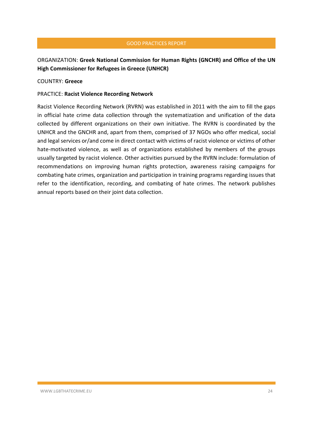### ORGANIZATION: Greek National Commission for Human Rights (GNCHR) and Office of the UN High Commissioner for Refugees in Greece (UNHCR)

### COUNTRY: Greece

### PRACTICE: Racist Violence Recording Network

Racist Violence Recording Network (RVRN) was established in 2011 with the aim to fill the gaps in official hate crime data collection through the systematization and unification of the data collected by different organizations on their own initiative. The RVRN is coordinated by the UNHCR and the GNCHR and, apart from them, comprised of 37 NGOs who offer medical, social and legal services or/and come in direct contact with victims of racist violence or victims of other hate-motivated violence, as well as of organizations established by members of the groups usually targeted by racist violence. Other activities pursued by the RVRN include: formulation of recommendations on improving human rights protection, awareness raising campaigns for combating hate crimes, organization and participation in training programs regarding issues that refer to the identification, recording, and combating of hate crimes. The network publishes annual reports based on their joint data collection.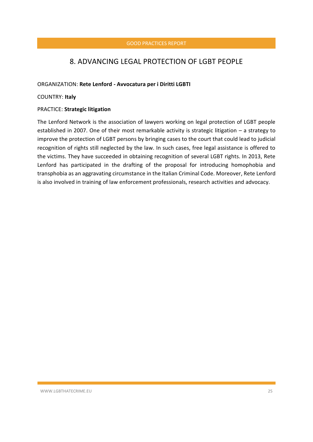### 8. ADVANCING LEGAL PROTECTION OF LGBT PEOPLE

### ORGANIZATION: Rete Lenford - Avvocatura per i Diritti LGBTI

### COUNTRY: Italy

### PRACTICE: Strategic litigation

The Lenford Network is the association of lawyers working on legal protection of LGBT people established in 2007. One of their most remarkable activity is strategic litigation – a strategy to improve the protection of LGBT persons by bringing cases to the court that could lead to judicial recognition of rights still neglected by the law. In such cases, free legal assistance is offered to the victims. They have succeeded in obtaining recognition of several LGBT rights. In 2013, Rete Lenford has participated in the drafting of the proposal for introducing homophobia and transphobia as an aggravating circumstance in the Italian Criminal Code. Moreover, Rete Lenford is also involved in training of law enforcement professionals, research activities and advocacy.